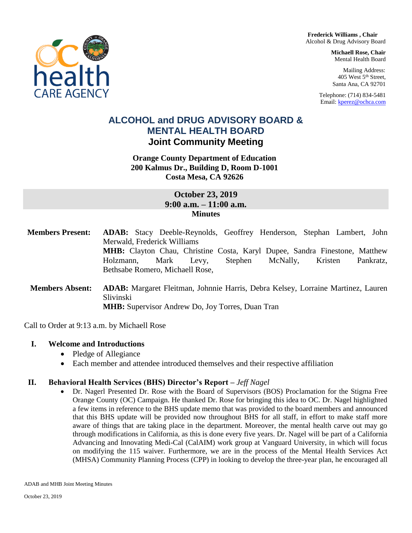**Frederick Williams , Chair** Alcohol & Drug Advisory Board

> **Michaell Rose, Chair**  Mental Health Board

Mailing Address: 405 West 5th Street, Santa Ana, CA 92701

Telephone: (714) 834-5481 Email[: kperez@ochca.com](mailto:kperez@ochca.com)

# **ALCOHOL and DRUG ADVISORY BOARD & MENTAL HEALTH BOARD Joint Community Meeting**

## **Orange County Department of Education 200 Kalmus Dr., Building D, Room D-1001 Costa Mesa, CA 92626**

## **October 23, 2019 9:00 a.m. – 11:00 a.m. Minutes**

**Members Present: ADAB:** Stacy Deeble-Reynolds, Geoffrey Henderson, Stephan Lambert, John Merwald, Frederick Williams **MHB:** Clayton Chau, Christine Costa, Karyl Dupee, Sandra Finestone, Matthew Holzmann, Mark Levy, Stephen McNally, Kristen Pankratz, Bethsabe Romero, Michaell Rose, **Members Absent: ADAB:** Margaret Fleitman, Johnnie Harris, Debra Kelsey, Lorraine Martinez, Lauren Slivinski **MHB:** Supervisor Andrew Do, Joy Torres, Duan Tran

Call to Order at 9:13 a.m. by Michaell Rose

## **I. Welcome and Introductions**

- Pledge of Allegiance
- Each member and attendee introduced themselves and their respective affiliation

## **II. Behavioral Health Services (BHS) Director's Report –** *Jeff Nagel*

 Dr. Nagerl Presented Dr. Rose with the Board of Supervisors (BOS) Proclamation for the Stigma Free Orange County (OC) Campaign. He thanked Dr. Rose for bringing this idea to OC. Dr. Nagel highlighted a few items in reference to the BHS update memo that was provided to the board members and announced that this BHS update will be provided now throughout BHS for all staff, in effort to make staff more aware of things that are taking place in the department. Moreover, the mental health carve out may go through modifications in California, as this is done every five years. Dr. Nagel will be part of a California Advancing and Innovating Medi-Cal (CalAIM) work group at Vanguard University, in which will focus on modifying the 115 waiver. Furthermore, we are in the process of the Mental Health Services Act (MHSA) Community Planning Process (CPP) in looking to develop the three-year plan, he encouraged all